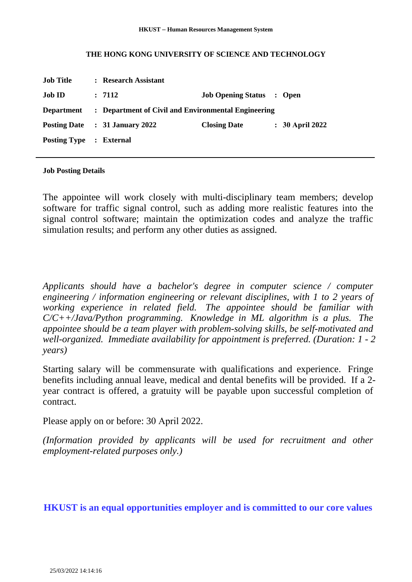## **THE HONG KONG UNIVERSITY OF SCIENCE AND TECHNOLOGY**

| <b>Job Title</b>               | : Research Assistant                                |                                  |  |                   |
|--------------------------------|-----------------------------------------------------|----------------------------------|--|-------------------|
| <b>Job ID</b>                  | : 7112                                              | <b>Job Opening Status : Open</b> |  |                   |
| <b>Department</b>              | : Department of Civil and Environmental Engineering |                                  |  |                   |
|                                | Posting Date : 31 January 2022                      | <b>Closing Date</b>              |  | $: 30$ April 2022 |
| <b>Posting Type : External</b> |                                                     |                                  |  |                   |

## **Job Posting Details**

The appointee will work closely with multi-disciplinary team members; develop software for traffic signal control, such as adding more realistic features into the signal control software; maintain the optimization codes and analyze the traffic simulation results; and perform any other duties as assigned.

*Applicants should have a bachelor's degree in computer science / computer engineering / information engineering or relevant disciplines, with 1 to 2 years of working experience in related field. The appointee should be familiar with C/C++/Java/Python programming. Knowledge in ML algorithm is a plus. The appointee should be a team player with problem-solving skills, be self-motivated and well-organized. Immediate availability for appointment is preferred. (Duration: 1 - 2 years)*

Starting salary will be commensurate with qualifications and experience. Fringe benefits including annual leave, medical and dental benefits will be provided. If a 2 year contract is offered, a gratuity will be payable upon successful completion of contract.

Please apply on or before: 30 April 2022.

*(Information provided by applicants will be used for recruitment and other employment-related purposes only.)*

## **HKUST is an equal opportunities employer and is committed to our core values**